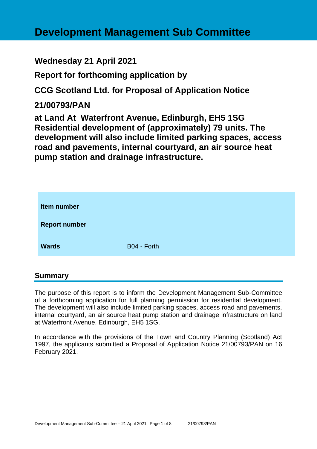# **Development Management Sub Committee**

# **Wednesday 21 April 2021**

**Report for forthcoming application by**

**CCG Scotland Ltd. for Proposal of Application Notice** 

# **21/00793/PAN**

**at Land At Waterfront Avenue, Edinburgh, EH5 1SG Residential development of (approximately) 79 units. The development will also include limited parking spaces, access road and pavements, internal courtyard, an air source heat pump station and drainage infrastructure.**

| Item number          |             |
|----------------------|-------------|
| <b>Report number</b> |             |
| <b>Wards</b>         | B04 - Forth |

# **Summary**

The purpose of this report is to inform the Development Management Sub-Committee of a forthcoming application for full planning permission for residential development. The development will also include limited parking spaces, access road and pavements, internal courtyard, an air source heat pump station and drainage infrastructure on land at Waterfront Avenue, Edinburgh, EH5 1SG.

In accordance with the provisions of the Town and Country Planning (Scotland) Act 1997, the applicants submitted a Proposal of Application Notice 21/00793/PAN on 16 February 2021.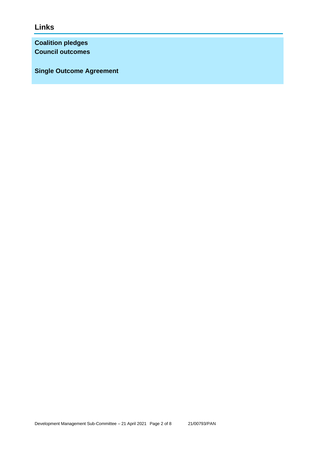**Links**

**Coalition pledges Council outcomes**

**Single Outcome Agreement**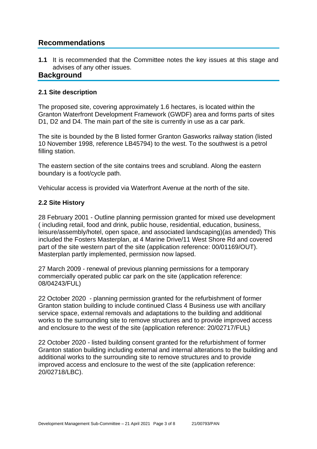# **Recommendations**

**1.1** It is recommended that the Committee notes the key issues at this stage and advises of any other issues.

# **Background**

#### **2.1 Site description**

The proposed site, covering approximately 1.6 hectares, is located within the Granton Waterfront Development Framework (GWDF) area and forms parts of sites D1, D2 and D4. The main part of the site is currently in use as a car park.

The site is bounded by the B listed former Granton Gasworks railway station (listed 10 November 1998, reference LB45794) to the west. To the southwest is a petrol filling station.

The eastern section of the site contains trees and scrubland. Along the eastern boundary is a foot/cycle path.

Vehicular access is provided via Waterfront Avenue at the north of the site.

#### **2.2 Site History**

28 February 2001 - Outline planning permission granted for mixed use development ( including retail, food and drink, public house, residential, education, business, leisure/assembly/hotel, open space, and associated landscaping)(as amended) This included the Fosters Masterplan, at 4 Marine Drive/11 West Shore Rd and covered part of the site western part of the site (application reference: 00/01169/OUT). Masterplan partly implemented, permission now lapsed.

27 March 2009 - renewal of previous planning permissions for a temporary commercially operated public car park on the site (application reference: 08/04243/FUL)

22 October 2020 - planning permission granted for the refurbishment of former Granton station building to include continued Class 4 Business use with ancillary service space, external removals and adaptations to the building and additional works to the surrounding site to remove structures and to provide improved access and enclosure to the west of the site (application reference: 20/02717/FUL)

22 October 2020 - listed building consent granted for the refurbishment of former Granton station building including external and internal alterations to the building and additional works to the surrounding site to remove structures and to provide improved access and enclosure to the west of the site (application reference: 20/02718/LBC).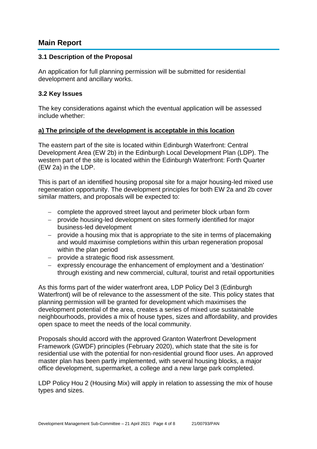# **Main Report**

#### **3.1 Description of the Proposal**

An application for full planning permission will be submitted for residential development and ancillary works.

#### **3.2 Key Issues**

The key considerations against which the eventual application will be assessed include whether:

#### **a) The principle of the development is acceptable in this location**

The eastern part of the site is located within Edinburgh Waterfront: Central Development Area (EW 2b) in the Edinburgh Local Development Plan (LDP). The western part of the site is located within the Edinburgh Waterfront: Forth Quarter (EW 2a) in the LDP.

This is part of an identified housing proposal site for a major housing-led mixed use regeneration opportunity. The development principles for both EW 2a and 2b cover similar matters, and proposals will be expected to:

- − complete the approved street layout and perimeter block urban form
- − provide housing-led development on sites formerly identified for major business-led development
- − provide a housing mix that is appropriate to the site in terms of placemaking and would maximise completions within this urban regeneration proposal within the plan period
- − provide a strategic flood risk assessment.
- − expressly encourage the enhancement of employment and a 'destination' through existing and new commercial, cultural, tourist and retail opportunities

As this forms part of the wider waterfront area, LDP Policy Del 3 (Edinburgh Waterfront) will be of relevance to the assessment of the site. This policy states that planning permission will be granted for development which maximises the development potential of the area, creates a series of mixed use sustainable neighbourhoods, provides a mix of house types, sizes and affordability, and provides open space to meet the needs of the local community.

Proposals should accord with the approved Granton Waterfront Development Framework (GWDF) principles (February 2020), which state that the site is for residential use with the potential for non-residential ground floor uses. An approved master plan has been partly implemented, with several housing blocks, a major office development, supermarket, a college and a new large park completed.

LDP Policy Hou 2 (Housing Mix) will apply in relation to assessing the mix of house types and sizes.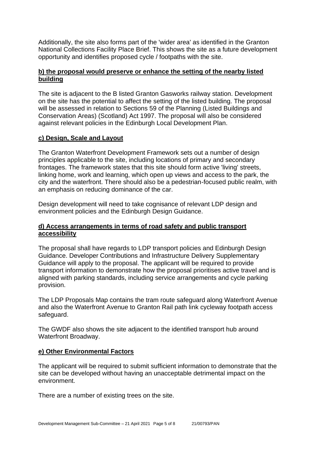Additionally, the site also forms part of the 'wider area' as identified in the Granton National Collections Facility Place Brief. This shows the site as a future development opportunity and identifies proposed cycle / footpaths with the site.

### **b) the proposal would preserve or enhance the setting of the nearby listed building**

The site is adjacent to the B listed Granton Gasworks railway station. Development on the site has the potential to affect the setting of the listed building. The proposal will be assessed in relation to Sections 59 of the Planning (Listed Buildings and Conservation Areas) (Scotland) Act 1997. The proposal will also be considered against relevant policies in the Edinburgh Local Development Plan.

# **c) Design, Scale and Layout**

The Granton Waterfront Development Framework sets out a number of design principles applicable to the site, including locations of primary and secondary frontages. The framework states that this site should form active 'living' streets, linking home, work and learning, which open up views and access to the park, the city and the waterfront. There should also be a pedestrian-focused public realm, with an emphasis on reducing dominance of the car.

Design development will need to take cognisance of relevant LDP design and environment policies and the Edinburgh Design Guidance.

#### **d) Access arrangements in terms of road safety and public transport accessibility**

The proposal shall have regards to LDP transport policies and Edinburgh Design Guidance. Developer Contributions and Infrastructure Delivery Supplementary Guidance will apply to the proposal. The applicant will be required to provide transport information to demonstrate how the proposal prioritises active travel and is aligned with parking standards, including service arrangements and cycle parking provision.

The LDP Proposals Map contains the tram route safeguard along Waterfront Avenue and also the Waterfront Avenue to Granton Rail path link cycleway footpath access safeguard.

The GWDF also shows the site adjacent to the identified transport hub around Waterfront Broadway.

#### **e) Other Environmental Factors**

The applicant will be required to submit sufficient information to demonstrate that the site can be developed without having an unacceptable detrimental impact on the environment.

There are a number of existing trees on the site.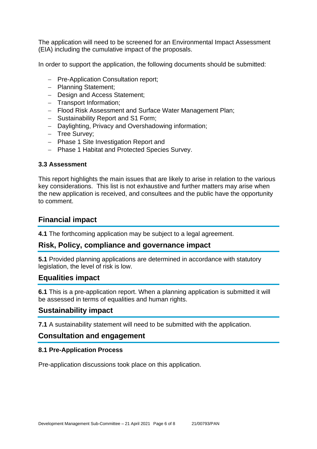The application will need to be screened for an Environmental Impact Assessment (EIA) including the cumulative impact of the proposals.

In order to support the application, the following documents should be submitted:

- − Pre-Application Consultation report;
- − Planning Statement;
- − Design and Access Statement;
- − Transport Information;
- − Flood Risk Assessment and Surface Water Management Plan;
- − Sustainability Report and S1 Form;
- − Daylighting, Privacy and Overshadowing information;
- − Tree Survey;
- − Phase 1 Site Investigation Report and
- − Phase 1 Habitat and Protected Species Survey.

#### **3.3 Assessment**

This report highlights the main issues that are likely to arise in relation to the various key considerations. This list is not exhaustive and further matters may arise when the new application is received, and consultees and the public have the opportunity to comment.

# **Financial impact**

**4.1** The forthcoming application may be subject to a legal agreement.

# **Risk, Policy, compliance and governance impact**

**5.1** Provided planning applications are determined in accordance with statutory legislation, the level of risk is low.

# **Equalities impact**

**6.1** This is a pre-application report. When a planning application is submitted it will be assessed in terms of equalities and human rights.

# **Sustainability impact**

**7.1** A sustainability statement will need to be submitted with the application.

#### **Consultation and engagement**

#### **8.1 Pre-Application Process**

Pre-application discussions took place on this application.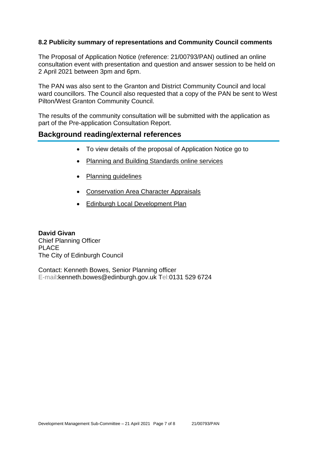### **8.2 Publicity summary of representations and Community Council comments**

The Proposal of Application Notice (reference: 21/00793/PAN) outlined an online consultation event with presentation and question and answer session to be held on 2 April 2021 between 3pm and 6pm.

The PAN was also sent to the Granton and District Community Council and local ward councillors. The Council also requested that a copy of the PAN be sent to West Pilton/West Granton Community Council.

The results of the community consultation will be submitted with the application as part of the Pre-application Consultation Report.

# **Background reading/external references**

- To view details of the proposal of Application Notice go to
- [Planning and Building Standards online services](https://citydev-portal.edinburgh.gov.uk/idoxpa-web/search.do?action=simple&searchType=Application)
- [Planning guidelines](http://www.edinburgh.gov.uk/planningguidelines)
- [Conservation Area Character Appraisals](http://www.edinburgh.gov.uk/characterappraisals)
- [Edinburgh Local Development Plan](http://www.edinburgh.gov.uk/info/20164/proposed_local_development_plan/66/local_development_plan)

**David Givan** Chief Planning Officer PLACE The City of Edinburgh Council

Contact: Kenneth Bowes, Senior Planning officer E-mail:kenneth.bowes@edinburgh.gov.uk Tel:0131 529 6724